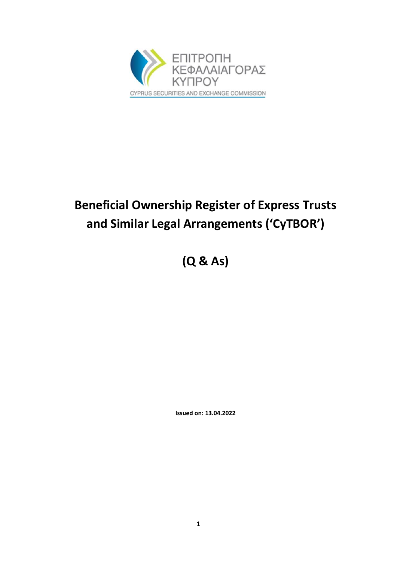

# **Beneficial Ownership Register of Express Trusts and Similar Legal Arrangements ('CyTBOR')**

**(Q & As)**

**Issued on: 13.04.2022**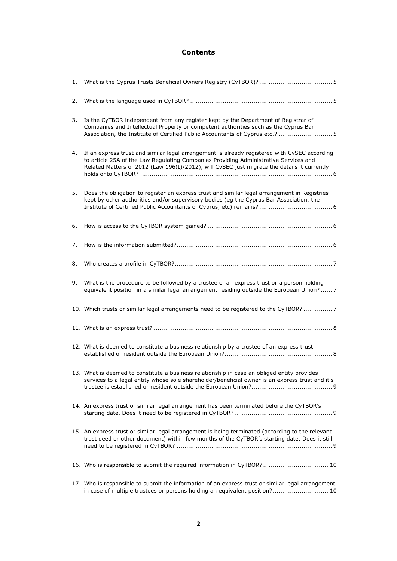#### **Contents**

| 2. |                                                                                                                                                                                                                                                                                     |
|----|-------------------------------------------------------------------------------------------------------------------------------------------------------------------------------------------------------------------------------------------------------------------------------------|
| 3. | Is the CyTBOR independent from any register kept by the Department of Registrar of<br>Companies and Intellectual Property or competent authorities such as the Cyprus Bar<br>Association, the Institute of Certified Public Accountants of Cyprus etc.?  5                          |
| 4. | If an express trust and similar legal arrangement is already registered with CySEC according<br>to article 25A of the Law Regulating Companies Providing Administrative Services and<br>Related Matters of 2012 (Law 196(I)/2012), will CySEC just migrate the details it currently |
| 5. | Does the obligation to register an express trust and similar legal arrangement in Registries<br>kept by other authorities and/or supervisory bodies (eg the Cyprus Bar Association, the                                                                                             |
| 6. |                                                                                                                                                                                                                                                                                     |
| 7. |                                                                                                                                                                                                                                                                                     |
| 8. |                                                                                                                                                                                                                                                                                     |
| 9. | What is the procedure to be followed by a trustee of an express trust or a person holding<br>equivalent position in a similar legal arrangement residing outside the European Union? 7                                                                                              |
|    | 10. Which trusts or similar legal arrangements need to be registered to the CyTBOR?  7                                                                                                                                                                                              |
|    |                                                                                                                                                                                                                                                                                     |
|    | 12. What is deemed to constitute a business relationship by a trustee of an express trust                                                                                                                                                                                           |
|    | 13. What is deemed to constitute a business relationship in case an obliged entity provides<br>services to a legal entity whose sole shareholder/beneficial owner is an express trust and it's                                                                                      |
|    | 14. An express trust or similar legal arrangement has been terminated before the CyTBOR's                                                                                                                                                                                           |
|    | 15. An express trust or similar legal arrangement is being terminated (according to the relevant<br>trust deed or other document) within few months of the CyTBOR's starting date. Does it still                                                                                    |
|    | 16. Who is responsible to submit the required information in CyTBOR? 10                                                                                                                                                                                                             |
|    | 17. Who is responsible to submit the information of an express trust or similar legal arrangement<br>in case of multiple trustees or persons holding an equivalent position? 10                                                                                                     |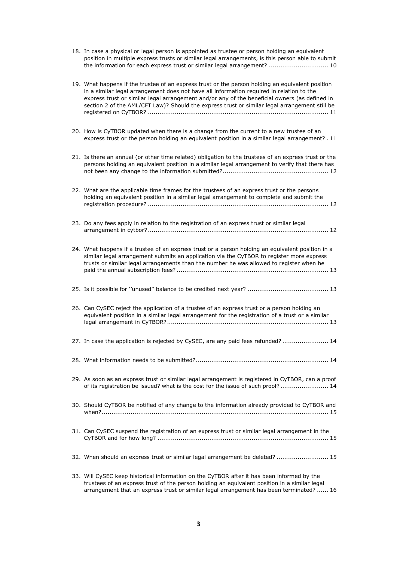18. [In case a physical or legal person is appointed as trustee or person holding an equivalent](#page-9-2)  [position in multiple express trusts or similar legal arrangements, is this person able to submit](#page-9-2)  [the information for each express trust or similar legal arrangement?](#page-9-2) ............................... 10

| 19. What happens if the trustee of an express trust or the person holding an equivalent position<br>in a similar legal arrangement does not have all information required in relation to the<br>express trust or similar legal arrangement and/or any of the beneficial owners (as defined in<br>section 2 of the AML/CFT Law)? Should the express trust or similar legal arrangement still be |
|------------------------------------------------------------------------------------------------------------------------------------------------------------------------------------------------------------------------------------------------------------------------------------------------------------------------------------------------------------------------------------------------|
| 20. How is CyTBOR updated when there is a change from the current to a new trustee of an<br>express trust or the person holding an equivalent position in a similar legal arrangement? . 11                                                                                                                                                                                                    |
| 21. Is there an annual (or other time related) obligation to the trustees of an express trust or the<br>persons holding an equivalent position in a similar legal arrangement to verify that there has                                                                                                                                                                                         |
| 22. What are the applicable time frames for the trustees of an express trust or the persons<br>holding an equivalent position in a similar legal arrangement to complete and submit the                                                                                                                                                                                                        |
| 23. Do any fees apply in relation to the registration of an express trust or similar legal                                                                                                                                                                                                                                                                                                     |
| 24. What happens if a trustee of an express trust or a person holding an equivalent position in a<br>similar legal arrangement submits an application via the CyTBOR to register more express<br>trusts or similar legal arrangements than the number he was allowed to register when he                                                                                                       |
|                                                                                                                                                                                                                                                                                                                                                                                                |
| 26. Can CySEC reject the application of a trustee of an express trust or a person holding an<br>equivalent position in a similar legal arrangement for the registration of a trust or a similar                                                                                                                                                                                                |
| 27. In case the application is rejected by CySEC, are any paid fees refunded?  14                                                                                                                                                                                                                                                                                                              |
|                                                                                                                                                                                                                                                                                                                                                                                                |
| 29. As soon as an express trust or similar legal arrangement is registered in CyTBOR, can a proof<br>of its registration be issued? what is the cost for the issue of such proof? 14                                                                                                                                                                                                           |
| 30. Should CyTBOR be notified of any change to the information already provided to CyTBOR and                                                                                                                                                                                                                                                                                                  |
| 31. Can CySEC suspend the registration of an express trust or similar legal arrangement in the                                                                                                                                                                                                                                                                                                 |
| 32. When should an express trust or similar legal arrangement be deleted?  15                                                                                                                                                                                                                                                                                                                  |
| 33. Will CySEC keep historical information on the CyTBOR after it has been informed by the<br>trustees of an express trust of the person holding an equivalent position in a similar legal                                                                                                                                                                                                     |

[arrangement that an express trust or similar legal arrangement has been terminated?](#page-15-0) ...... 16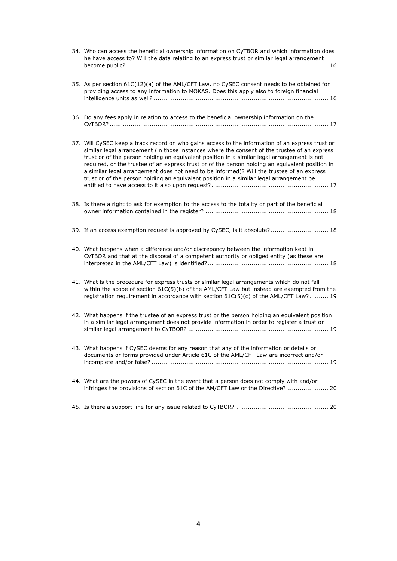| 34. Who can access the beneficial ownership information on CyTBOR and which information does<br>he have access to? Will the data relating to an express trust or similar legal arrangement                                                                                                                                                                                                                                                                                                                                                                                                 |
|--------------------------------------------------------------------------------------------------------------------------------------------------------------------------------------------------------------------------------------------------------------------------------------------------------------------------------------------------------------------------------------------------------------------------------------------------------------------------------------------------------------------------------------------------------------------------------------------|
| 35. As per section 61C(12)(a) of the AML/CFT Law, no CySEC consent needs to be obtained for<br>providing access to any information to MOKAS. Does this apply also to foreign financial                                                                                                                                                                                                                                                                                                                                                                                                     |
| 36. Do any fees apply in relation to access to the beneficial ownership information on the                                                                                                                                                                                                                                                                                                                                                                                                                                                                                                 |
| 37. Will CySEC keep a track record on who gains access to the information of an express trust or<br>similar legal arrangement (in those instances where the consent of the trustee of an express<br>trust or of the person holding an equivalent position in a similar legal arrangement is not<br>required, or the trustee of an express trust or of the person holding an equivalent position in<br>a similar legal arrangement does not need to be informed)? Will the trustee of an express<br>trust or of the person holding an equivalent position in a similar legal arrangement be |
| 38. Is there a right to ask for exemption to the access to the totality or part of the beneficial                                                                                                                                                                                                                                                                                                                                                                                                                                                                                          |
| 39. If an access exemption request is approved by CySEC, is it absolute? 18                                                                                                                                                                                                                                                                                                                                                                                                                                                                                                                |
| 40. What happens when a difference and/or discrepancy between the information kept in<br>CyTBOR and that at the disposal of a competent authority or obliged entity (as these are                                                                                                                                                                                                                                                                                                                                                                                                          |
| 41. What is the procedure for express trusts or similar legal arrangements which do not fall<br>within the scope of section 61C(5)(b) of the AML/CFT Law but instead are exempted from the<br>registration requirement in accordance with section 61C(5)(c) of the AML/CFT Law? 19                                                                                                                                                                                                                                                                                                         |
| 42. What happens if the trustee of an express trust or the person holding an equivalent position<br>in a similar legal arrangement does not provide information in order to register a trust or                                                                                                                                                                                                                                                                                                                                                                                            |
| 43. What happens if CySEC deems for any reason that any of the information or details or<br>documents or forms provided under Article 61C of the AML/CFT Law are incorrect and/or                                                                                                                                                                                                                                                                                                                                                                                                          |
| 44. What are the powers of CySEC in the event that a person does not comply with and/or<br>infringes the provisions of section 61C of the AM/CFT Law or the Directive? 20                                                                                                                                                                                                                                                                                                                                                                                                                  |
|                                                                                                                                                                                                                                                                                                                                                                                                                                                                                                                                                                                            |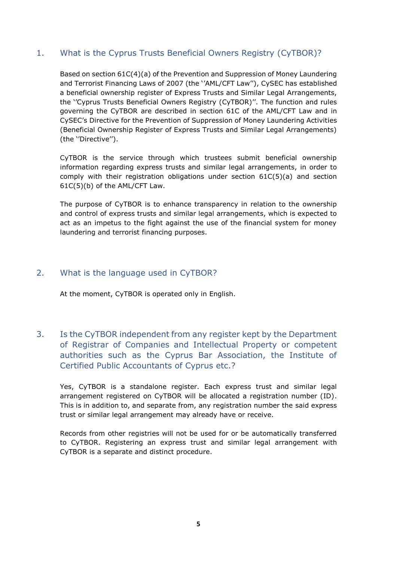## <span id="page-4-0"></span>1. What is the Cyprus Trusts Beneficial Owners Registry (CyTBOR)?

Based on section 61C(4)(a) of the Prevention and Suppression of Money Laundering and Terrorist Financing Laws of 2007 (the ''AML/CFT Law''), CySEC has established a beneficial ownership register of Express Trusts and Similar Legal Arrangements, the ''Cyprus Trusts Beneficial Owners Registry (CyTBOR)''. The function and rules governing the CyTBOR are described in section 61C of the AML/CFT Law and in CySEC's Directive for the Prevention of Suppression of Money Laundering Activities (Beneficial Ownership Register of Express Trusts and Similar Legal Arrangements) (the ''Directive'').

CyTBOR is the service through which trustees submit beneficial ownership information regarding express trusts and similar legal arrangements, in order to comply with their registration obligations under section 61C(5)(a) and section 61C(5)(b) of the AML/CFT Law.

The purpose of CyTBOR is to enhance transparency in relation to the ownership and control of express trusts and similar legal arrangements, which is expected to act as an impetus to the fight against the use of the financial system for money laundering and terrorist financing purposes.

## <span id="page-4-1"></span>2. What is the language used in CyTBOR?

At the moment, CyTBOR is operated only in English.

<span id="page-4-2"></span>3. Is the CyTBOR independent from any register kept by the Department of Registrar of Companies and Intellectual Property or competent authorities such as the Cyprus Bar Association, the Institute of Certified Public Accountants of Cyprus etc.?

Yes, CyTBOR is a standalone register. Each express trust and similar legal arrangement registered on CyTBOR will be allocated a registration number (ID). This is in addition to, and separate from, any registration number the said express trust or similar legal arrangement may already have or receive.

Records from other registries will not be used for or be automatically transferred to CyTBOR. Registering an express trust and similar legal arrangement with CyTBOR is a separate and distinct procedure.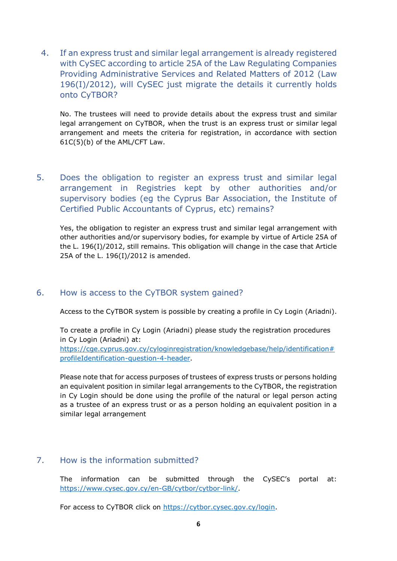<span id="page-5-0"></span>4. If an express trust and similar legal arrangement is already registered with CySEC according to article 25A of the Law Regulating Companies Providing Administrative Services and Related Matters of 2012 (Law 196(I)/2012), will CySEC just migrate the details it currently holds onto CyTBOR?

No. The trustees will need to provide details about the express trust and similar legal arrangement on CyTBOR, when the trust is an express trust or similar legal arrangement and meets the criteria for registration, in accordance with section 61C(5)(b) of the AML/CFT Law.

<span id="page-5-1"></span>5. Does the obligation to register an express trust and similar legal arrangement in Registries kept by other authorities and/or supervisory bodies (eg the Cyprus Bar Association, the Institute of Certified Public Accountants of Cyprus, etc) remains?

Yes, the obligation to register an express trust and similar legal arrangement with other authorities and/or supervisory bodies, for example by virtue of Article 25A of the L. 196(Ι)/2012, still remains. This obligation will change in the case that Article 25A of the L. 196(Ι)/2012 is amended.

## <span id="page-5-2"></span>6. How is access to the CyTBOR system gained?

Access to the CyTBOR system is possible by creating a profile in Cy Login (Ariadni).

To create a profile in Cy Login (Ariadni) please study the registration procedures in Cy Login (Ariadni) at: [https://cge.cyprus.gov.cy/cyloginregistration/knowledgebase/help/identification#](https://cge.cyprus.gov.cy/cyloginregistration/knowledgebase/help/identification#profileIdentification-question-4-header) [profileIdentification-question-4-header.](https://cge.cyprus.gov.cy/cyloginregistration/knowledgebase/help/identification#profileIdentification-question-4-header)

Please note that for access purposes of trustees of express trusts or persons holding an equivalent position in similar legal arrangements to the CyTBOR, the registration in Cy Login should be done using the profile of the natural or legal person acting as a trustee of an express trust or as a person holding an equivalent position in a similar legal arrangement

#### <span id="page-5-3"></span>7. How is the information submitted?

The information can be submitted through the CySEC's portal at: [https://www.cysec.gov.cy/en-GB/cytbor/cytbor-link/.](https://www.cysec.gov.cy/en-GB/cytbor/cytbor-link/)

For access to CyTBOR click on [https://cytbor.cysec.gov.cy/login.](https://cytbor.cysec.gov.cy/login)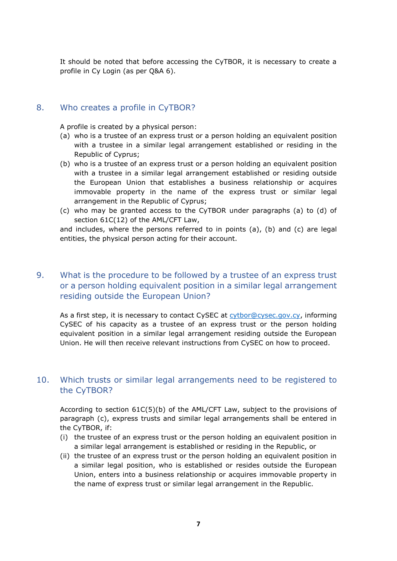It should be noted that before accessing the CyTBOR, it is necessary to create a profile in Cy Login (as per Q&A 6).

#### <span id="page-6-0"></span>8. Who creates a profile in CyTBOR?

A profile is created by a physical person:

- (a) who is a trustee of an express trust or a person holding an equivalent position with a trustee in a similar legal arrangement established or residing in the Republic of Cyprus;
- (b) who is a trustee of an express trust or a person holding an equivalent position with a trustee in a similar legal arrangement established or residing outside the European Union that establishes a business relationship or acquires immovable property in the name of the express trust or similar legal arrangement in the Republic of Cyprus;
- (c) who may be granted access to the CyTBOR under paragraphs (a) to (d) of section 61C(12) of the AML/CFT Law,

and includes, where the persons referred to in points (a), (b) and (c) are legal entities, the physical person acting for their account.

## <span id="page-6-1"></span>9. What is the procedure to be followed by a trustee of an express trust or a person holding equivalent position in a similar legal arrangement residing outside the European Union?

As a first step, it is necessary to contact CySEC at [cytbor@cysec.gov.cy,](mailto:cytbor@cysec.gov.cy) informing CySEC of his capacity as a trustee of an express trust or the person holding equivalent position in a similar legal arrangement residing outside the European Union. He will then receive relevant instructions from CySEC on how to proceed.

#### <span id="page-6-2"></span>10. Which trusts or similar legal arrangements need to be registered to the CyTBOR?

According to section 61C(5)(b) of the AML/CFT Law, subject to the provisions of paragraph (c), express trusts and similar legal arrangements shall be entered in the CyTBOR, if:

- (i) the trustee of an express trust or the person holding an equivalent position in a similar legal arrangement is established or residing in the Republic, or
- (ii) the trustee of an express trust or the person holding an equivalent position in a similar legal position, who is established or resides outside the European Union, enters into a business relationship or acquires immovable property in the name of express trust or similar legal arrangement in the Republic.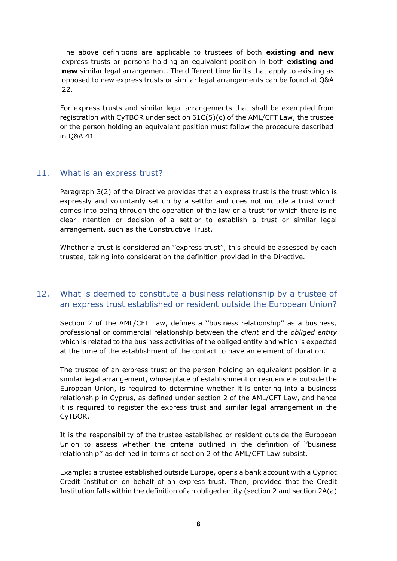The above definitions are applicable to trustees of both **existing and new** express trusts or persons holding an equivalent position in both **existing and new** similar legal arrangement. The different time limits that apply to existing as opposed to new express trusts or similar legal arrangements can be found at Q&A 22.

For express trusts and similar legal arrangements that shall be exempted from registration with CyTBOR under section 61C(5)(c) of the AML/CFT Law, the trustee or the person holding an equivalent position must follow the procedure described in Q&A 41.

#### <span id="page-7-0"></span>11. What is an express trust?

Paragraph 3(2) of the Directive provides that an express trust is the trust which is expressly and voluntarily set up by a settlor and does not include a trust which comes into being through the operation of the law or a trust for which there is no clear intention or decision of a settlor to establish a trust or similar legal arrangement, such as the Constructive Trust.

Whether a trust is considered an ''express trust'', this should be assessed by each trustee, taking into consideration the definition provided in the Directive.

## <span id="page-7-1"></span>12. What is deemed to constitute a business relationship by a trustee of an express trust established or resident outside the European Union?

Section 2 of the AML/CFT Law, defines a ''business relationship'' as a business, professional or commercial relationship between the *client* and the *obliged entity* which is related to the business activities of the obliged entity and which is expected at the time of the establishment of the contact to have an element of duration.

The trustee of an express trust or the person holding an equivalent position in a similar legal arrangement, whose place of establishment or residence is outside the European Union, is required to determine whether it is entering into a business relationship in Cyprus, as defined under section 2 of the AML/CFT Law, and hence it is required to register the express trust and similar legal arrangement in the CyTBOR.

It is the responsibility of the trustee established or resident outside the European Union to assess whether the criteria outlined in the definition of ''business relationship'' as defined in terms of section 2 of the AML/CFT Law subsist.

Example: a trustee established outside Europe, opens a bank account with a Cypriot Credit Institution on behalf of an express trust. Then, provided that the Credit Institution falls within the definition of an obliged entity (section 2 and section 2A(a)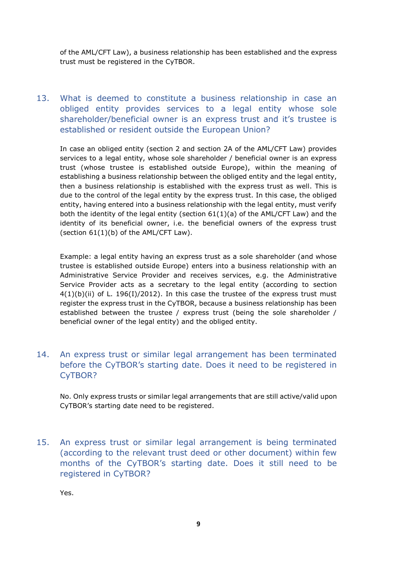of the AML/CFT Law), a business relationship has been established and the express trust must be registered in the CyTBOR.

<span id="page-8-0"></span>13. What is deemed to constitute a business relationship in case an obliged entity provides services to a legal entity whose sole shareholder/beneficial owner is an express trust and it's trustee is established or resident outside the European Union?

In case an obliged entity (section 2 and section 2A of the AML/CFT Law) provides services to a legal entity, whose sole shareholder / beneficial owner is an express trust (whose trustee is established outside Europe), within the meaning of establishing a business relationship between the obliged entity and the legal entity, then a business relationship is established with the express trust as well. This is due to the control of the legal entity by the express trust. In this case, the obliged entity, having entered into a business relationship with the legal entity, must verify both the identity of the legal entity (section  $61(1)(a)$  of the AML/CFT Law) and the identity of its beneficial owner, i.e. the beneficial owners of the express trust (section  $61(1)(b)$  of the AML/CFT Law).

Example: a legal entity having an express trust as a sole shareholder (and whose trustee is established outside Europe) enters into a business relationship with an Administrative Service Provider and receives services, e.g. the Administrative Service Provider acts as a secretary to the legal entity (according to section 4(1)(b)(ii) of L. 196(Ι)/2012). In this case the trustee of the express trust must register the express trust in the CyTBOR, because a business relationship has been established between the trustee / express trust (being the sole shareholder / beneficial owner of the legal entity) and the obliged entity.

<span id="page-8-1"></span>14. An express trust or similar legal arrangement has been terminated before the CyTBOR's starting date. Does it need to be registered in CyTBOR?

No. Only express trusts or similar legal arrangements that are still active/valid upon CyTBOR's starting date need to be registered.

<span id="page-8-2"></span>15. An express trust or similar legal arrangement is being terminated (according to the relevant trust deed or other document) within few months of the CyTBOR's starting date. Does it still need to be registered in CyTBOR?

Yes.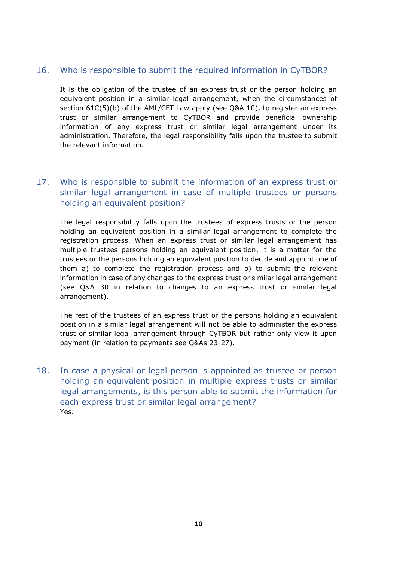#### <span id="page-9-0"></span>16. Who is responsible to submit the required information in CyTBOR?

It is the obligation of the trustee of an express trust or the person holding an equivalent position in a similar legal arrangement, when the circumstances of section 61C(5)(b) of the AML/CFT Law apply (see Q&A 10), to register an express trust or similar arrangement to CyTBOR and provide beneficial ownership information of any express trust or similar legal arrangement under its administration. Therefore, the legal responsibility falls upon the trustee to submit the relevant information.

## <span id="page-9-1"></span>17. Who is responsible to submit the information of an express trust or similar legal arrangement in case of multiple trustees or persons holding an equivalent position?

The legal responsibility falls upon the trustees of express trusts or the person holding an equivalent position in a similar legal arrangement to complete the registration process. When an express trust or similar legal arrangement has multiple trustees persons holding an equivalent position, it is a matter for the trustees or the persons holding an equivalent position to decide and appoint one of them a) to complete the registration process and b) to submit the relevant information in case of any changes to the express trust or similar legal arrangement (see Q&A 30 in relation to changes to an express trust or similar legal arrangement).

The rest of the trustees of an express trust or the persons holding an equivalent position in a similar legal arrangement will not be able to administer the express trust or similar legal arrangement through CyTBOR but rather only view it upon payment (in relation to payments see Q&As 23-27).

<span id="page-9-2"></span>18. In case a physical or legal person is appointed as trustee or person holding an equivalent position in multiple express trusts or similar legal arrangements, is this person able to submit the information for each express trust or similar legal arrangement? Yes.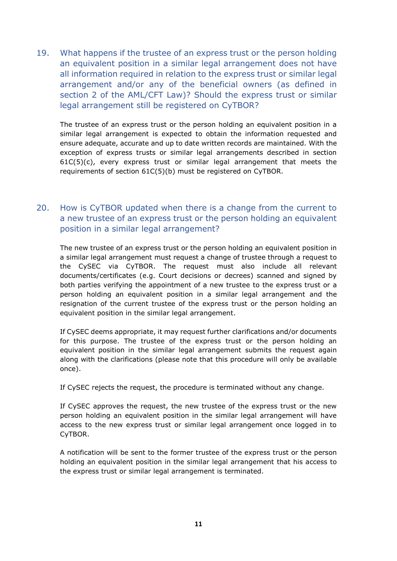<span id="page-10-0"></span>19. What happens if the trustee of an express trust or the person holding an equivalent position in a similar legal arrangement does not have all information required in relation to the express trust or similar legal arrangement and/or any of the beneficial owners (as defined in section 2 of the AML/CFT Law)? Should the express trust or similar legal arrangement still be registered on CyTBOR?

The trustee of an express trust or the person holding an equivalent position in a similar legal arrangement is expected to obtain the information requested and ensure adequate, accurate and up to date written records are maintained. With the exception of express trusts or similar legal arrangements described in section  $61C(5)(c)$ , every express trust or similar legal arrangement that meets the requirements of section 61C(5)(b) must be registered on CyTBOR.

## <span id="page-10-1"></span>20. How is CyTBOR updated when there is a change from the current to a new trustee of an express trust or the person holding an equivalent position in a similar legal arrangement?

The new trustee of an express trust or the person holding an equivalent position in a similar legal arrangement must request a change of trustee through a request to the CySEC via CyTBOR. The request must also include all relevant documents/certificates (e.g. Court decisions or decrees) scanned and signed by both parties verifying the appointment of a new trustee to the express trust or a person holding an equivalent position in a similar legal arrangement and the resignation of the current trustee of the express trust or the person holding an equivalent position in the similar legal arrangement.

If CySEC deems appropriate, it may request further clarifications and/or documents for this purpose. The trustee of the express trust or the person holding an equivalent position in the similar legal arrangement submits the request again along with the clarifications (please note that this procedure will only be available once).

If CySEC rejects the request, the procedure is terminated without any change.

If CySEC approves the request, the new trustee of the express trust or the new person holding an equivalent position in the similar legal arrangement will have access to the new express trust or similar legal arrangement once logged in to CyTBOR.

A notification will be sent to the former trustee of the express trust or the person holding an equivalent position in the similar legal arrangement that his access to the express trust or similar legal arrangement is terminated.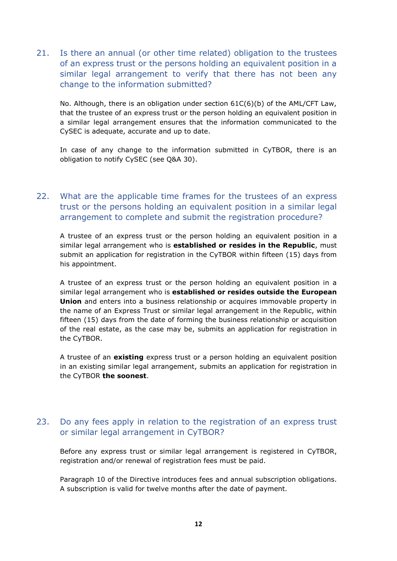<span id="page-11-0"></span>21. Is there an annual (or other time related) obligation to the trustees of an express trust or the persons holding an equivalent position in a similar legal arrangement to verify that there has not been any change to the information submitted?

No. Although, there is an obligation under section 61C(6)(b) of the AML/CFT Law, that the trustee of an express trust or the person holding an equivalent position in a similar legal arrangement ensures that the information communicated to the CySEC is adequate, accurate and up to date.

In case of any change to the information submitted in CyTBOR, there is an obligation to notify CySEC (see Q&A 30).

## <span id="page-11-1"></span>22. What are the applicable time frames for the trustees of an express trust or the persons holding an equivalent position in a similar legal arrangement to complete and submit the registration procedure?

A trustee of an express trust or the person holding an equivalent position in a similar legal arrangement who is **established or resides in the Republic**, must submit an application for registration in the CyTBOR within fifteen (15) days from his appointment.

A trustee of an express trust or the person holding an equivalent position in a similar legal arrangement who is **established or resides outside the European Union** and enters into a business relationship or acquires immovable property in the name of an Express Trust or similar legal arrangement in the Republic, within fifteen (15) days from the date of forming the business relationship or acquisition of the real estate, as the case may be, submits an application for registration in the CyTBOR.

A trustee of an **existing** express trust or a person holding an equivalent position in an existing similar legal arrangement, submits an application for registration in the CyTBOR **the soonest**.

## <span id="page-11-2"></span>23. Do any fees apply in relation to the registration of an express trust or similar legal arrangement in CyTBOR?

Before any express trust or similar legal arrangement is registered in CyTBOR, registration and/or renewal of registration fees must be paid.

Paragraph 10 of the Directive introduces fees and annual subscription obligations. A subscription is valid for twelve months after the date of payment.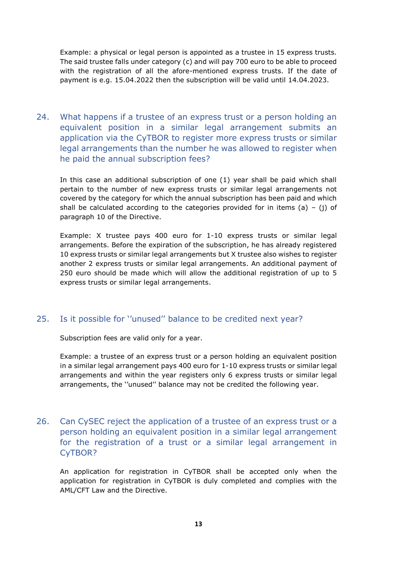Example: a physical or legal person is appointed as a trustee in 15 express trusts. The said trustee falls under category (c) and will pay 700 euro to be able to proceed with the registration of all the afore-mentioned express trusts. If the date of payment is e.g. 15.04.2022 then the subscription will be valid until 14.04.2023.

<span id="page-12-0"></span>24. What happens if a trustee of an express trust or a person holding an equivalent position in a similar legal arrangement submits an application via the CyTBOR to register more express trusts or similar legal arrangements than the number he was allowed to register when he paid the annual subscription fees?

In this case an additional subscription of one (1) year shall be paid which shall pertain to the number of new express trusts or similar legal arrangements not covered by the category for which the annual subscription has been paid and which shall be calculated according to the categories provided for in items (a) – (j) of paragraph 10 of the Directive.

Example: X trustee pays 400 euro for 1-10 express trusts or similar legal arrangements. Before the expiration of the subscription, he has already registered 10 express trusts or similar legal arrangements but X trustee also wishes to register another 2 express trusts or similar legal arrangements. An additional payment of 250 euro should be made which will allow the additional registration of up to 5 express trusts or similar legal arrangements.

## <span id="page-12-1"></span>25. Is it possible for ''unused'' balance to be credited next year?

Subscription fees are valid only for a year.

Example: a trustee of an express trust or a person holding an equivalent position in a similar legal arrangement pays 400 euro for 1-10 express trusts or similar legal arrangements and within the year registers only 6 express trusts or similar legal arrangements, the ''unused'' balance may not be credited the following year.

<span id="page-12-2"></span>26. Can CySEC reject the application of a trustee of an express trust or a person holding an equivalent position in a similar legal arrangement for the registration of a trust or a similar legal arrangement in CyTBOR?

An application for registration in CyTBOR shall be accepted only when the application for registration in CyTBOR is duly completed and complies with the AML/CFT Law and the Directive.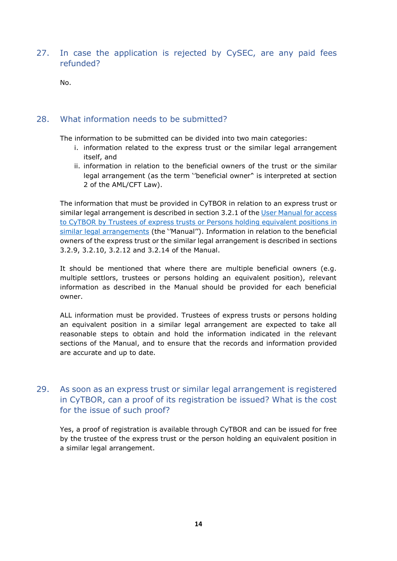<span id="page-13-0"></span>27. In case the application is rejected by CySEC, are any paid fees refunded?

No.

#### <span id="page-13-1"></span>28. What information needs to be submitted?

The information to be submitted can be divided into two main categories:

- i. information related to the express trust or the similar legal arrangement itself, and
- ii. information in relation to the beneficial owners of the trust or the similar legal arrangement (as the term ''beneficial owner'' is interpreted at section 2 of the AML/CFT Law).

The information that must be provided in CyTBOR in relation to an express trust or similar legal arrangement is described in section 3.2.1 of the [User Manual for access](https://www.cysec.gov.cy/cmsctx/culture/en-GB/-/el-GR/cytbor/user-guide-manuals/92311/)  to CyTBOR [by Trustees of express trusts or Persons holding equivalent positions](https://www.cysec.gov.cy/cmsctx/culture/en-GB/-/el-GR/cytbor/user-guide-manuals/92311/) in [similar legal arrangements](https://www.cysec.gov.cy/cmsctx/culture/en-GB/-/el-GR/cytbor/user-guide-manuals/92311/) (the ''Manual''). Information in relation to the beneficial owners of the express trust or the similar legal arrangement is described in sections 3.2.9, 3.2.10, 3.2.12 and 3.2.14 of the Manual.

It should be mentioned that where there are multiple beneficial owners (e.g. multiple settlors, trustees or persons holding an equivalent position), relevant information as described in the Manual should be provided for each beneficial owner.

ALL information must be provided. Trustees of express trusts or persons holding an equivalent position in a similar legal arrangement are expected to take all reasonable steps to obtain and hold the information indicated in the relevant sections of the Manual, and to ensure that the records and information provided are accurate and up to date.

## <span id="page-13-2"></span>29. As soon as an express trust or similar legal arrangement is registered in CyTBOR, can a proof of its registration be issued? What is the cost for the issue of such proof?

Yes, a proof of registration is available through CyTBOR and can be issued for free by the trustee of the express trust or the person holding an equivalent position in a similar legal arrangement.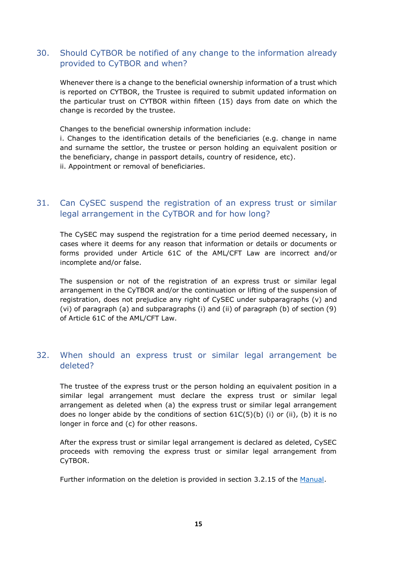## <span id="page-14-0"></span>30. Should CyTBOR be notified of any change to the information already provided to CyTBOR and when?

Whenever there is a change to the beneficial ownership information of a trust which is reported on CYTBOR, the Trustee is required to submit updated information on the particular trust on CYTBOR within fifteen (15) days from date on which the change is recorded by the trustee.

Changes to the beneficial ownership information include:

i. Changes to the identification details of the beneficiaries (e.g. change in name and surname the settlor, the trustee or person holding an equivalent position or the beneficiary, change in passport details, country of residence, etc). ii. Appointment or removal of beneficiaries.

## <span id="page-14-1"></span>31. Can CySEC suspend the registration of an express trust or similar legal arrangement in the CyTBOR and for how long?

The CySEC may suspend the registration for a time period deemed necessary, in cases where it deems for any reason that information or details or documents or forms provided under Article 61C of the AML/CFT Law are incorrect and/or incomplete and/or false.

The suspension or not of the registration of an express trust or similar legal arrangement in the CyTBOR and/or the continuation or lifting of the suspension of registration, does not prejudice any right of CySEC under subparagraphs (v) and (vi) of paragraph (a) and subparagraphs (i) and (ii) of paragraph (b) of section (9) of Article 61C of the AML/CFT Law.

## <span id="page-14-2"></span>32. When should an express trust or similar legal arrangement be deleted?

The trustee of the express trust or the person holding an equivalent position in a similar legal arrangement must declare the express trust or similar legal arrangement as deleted when (a) the express trust or similar legal arrangement does no longer abide by the conditions of section  $61C(5)(b)$  (i) or (ii), (b) it is no longer in force and (c) for other reasons.

After the express trust or similar legal arrangement is declared as deleted, CySEC proceeds with removing the express trust or similar legal arrangement from CyTBOR.

Further information on the deletion is provided in section 3.2.15 of the [Manual.](https://www.cysec.gov.cy/cmsctx/culture/en-GB/-/el-GR/cytbor/user-guide-manuals/92311/)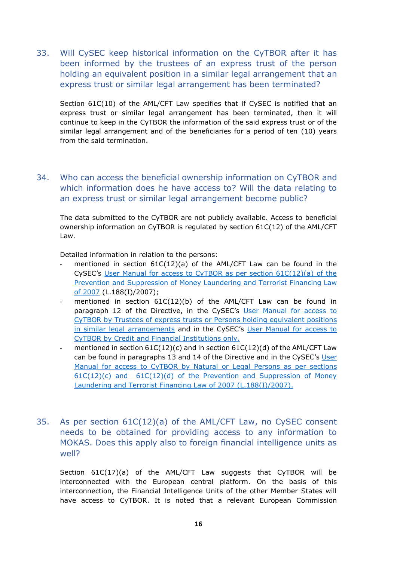<span id="page-15-0"></span>33. Will CySEC keep historical information on the CyTBOR after it has been informed by the trustees of an express trust of the person holding an equivalent position in a similar legal arrangement that an express trust or similar legal arrangement has been terminated?

Section 61C(10) of the AML/CFT Law specifies that if CySEC is notified that an express trust or similar legal arrangement has been terminated, then it will continue to keep in the CyTBOR the information of the said express trust or of the similar legal arrangement and of the beneficiaries for a period of ten (10) years from the said termination.

<span id="page-15-1"></span>34. Who can access the beneficial ownership information on CyTBOR and which information does he have access to? Will the data relating to an express trust or similar legal arrangement become public?

The data submitted to the CyTBOR are not publicly available. Access to beneficial ownership information on CyTBOR is regulated by section 61C(12) of the AML/CFT Law.

Detailed information in relation to the persons:

- mentioned in section  $61C(12)(a)$  of the AML/CFT Law can be found in the CySEC's [User Manual for access to CyTBOR as per section 61C\(12\)\(a\) of the](https://www.cysec.gov.cy/cmsctx/culture/en-GB/-/el-GR/cytbor/user-guide-manuals/92314/)  [Prevention and Suppression of Money Laundering and Terrorist Financing Law](https://www.cysec.gov.cy/cmsctx/culture/en-GB/-/el-GR/cytbor/user-guide-manuals/92314/)  [of 2007](https://www.cysec.gov.cy/cmsctx/culture/en-GB/-/el-GR/cytbor/user-guide-manuals/92314/) (L.188(I)/2007);
- mentioned in section  $61C(12)(b)$  of the AML/CFT Law can be found in paragraph 12 of the Directive, in the CySEC's [User Manual for access to](https://www.cysec.gov.cy/cmsctx/culture/en-GB/-/el-GR/cytbor/user-guide-manuals/92311/)  [CyTBOR by Trustees of express trusts or Persons holding equivalent positions](https://www.cysec.gov.cy/cmsctx/culture/en-GB/-/el-GR/cytbor/user-guide-manuals/92311/)  [in similar legal arrangements](https://www.cysec.gov.cy/cmsctx/culture/en-GB/-/el-GR/cytbor/user-guide-manuals/92311/) and in the CySEC's [User Manual for access to](https://www.cysec.gov.cy/cmsctx/culture/en-GB/-/el-GR/cytbor/user-guide-manuals/92312/)  [CyTBOR by Credit and Financial Institutions only.](https://www.cysec.gov.cy/cmsctx/culture/en-GB/-/el-GR/cytbor/user-guide-manuals/92312/)
- mentioned in section  $61C(12)(c)$  and in section  $61C(12)(d)$  of the AML/CFT Law can be found in paragraphs 13 and 14 of the Directive and in the CySEC's [User](https://www.cysec.gov.cy/cmsctx/culture/en-GB/-/el-GR/cytbor/user-guide-manuals/92315/)  [Manual for access to CyTBOR by Natural or Legal Persons as per sections](https://www.cysec.gov.cy/cmsctx/culture/en-GB/-/el-GR/cytbor/user-guide-manuals/92315/)   $61C(12)(c)$  and  $61C(12)(d)$  of the Prevention and Suppression of Money [Laundering and Terrorist Financing Law of 2007 \(L.188\(I\)/2007\).](https://www.cysec.gov.cy/cmsctx/culture/en-GB/-/el-GR/cytbor/user-guide-manuals/92315/)
- <span id="page-15-2"></span>35. As per section 61C(12)(a) of the AML/CFT Law, no CySEC consent needs to be obtained for providing access to any information to MOKAS. Does this apply also to foreign financial intelligence units as well?

Section 61C(17)(a) of the AML/CFT Law suggests that CyTBOR will be interconnected with the European central platform. On the basis of this interconnection, the Financial Intelligence Units of the other Member States will have access to CyTBOR. It is noted that a relevant European Commission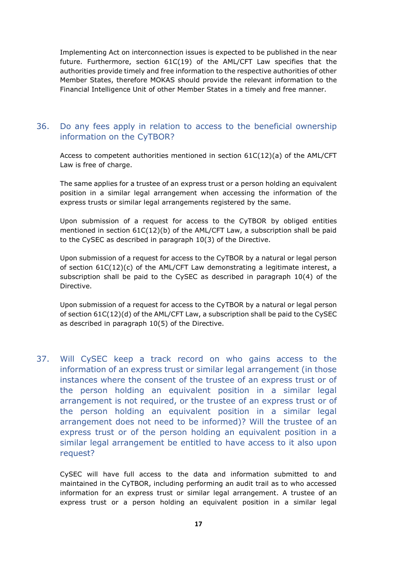Implementing Act on interconnection issues is expected to be published in the near future. Furthermore, section 61C(19) of the AML/CFT Law specifies that the authorities provide timely and free information to the respective authorities of other Member States, therefore MOKAS should provide the relevant information to the Financial Intelligence Unit of other Member States in a timely and free manner.

#### <span id="page-16-0"></span>36. Do any fees apply in relation to access to the beneficial ownership information on the CyTBOR?

Access to competent authorities mentioned in section 61C(12)(a) of the AML/CFT Law is free of charge.

The same applies for a trustee of an express trust or a person holding an equivalent position in a similar legal arrangement when accessing the information of the express trusts or similar legal arrangements registered by the same.

Upon submission of a request for access to the CyTBOR by obliged entities mentioned in section 61C(12)(b) of the AML/CFT Law, a subscription shall be paid to the CySEC as described in paragraph 10(3) of the Directive.

Upon submission of a request for access to the CyTBOR by a natural or legal person of section 61C(12)(c) of the AML/CFT Law demonstrating a legitimate interest, a subscription shall be paid to the CySEC as described in paragraph 10(4) of the Directive.

Upon submission of a request for access to the CyTBOR by a natural or legal person of section 61C(12)(d) of the AML/CFT Law, a subscription shall be paid to the CySEC as described in paragraph 10(5) of the Directive.

<span id="page-16-1"></span>37. Will CySEC keep a track record on who gains access to the information of an express trust or similar legal arrangement (in those instances where the consent of the trustee of an express trust or of the person holding an equivalent position in a similar legal arrangement is not required, or the trustee of an express trust or of the person holding an equivalent position in a similar legal arrangement does not need to be informed)? Will the trustee of an express trust or of the person holding an equivalent position in a similar legal arrangement be entitled to have access to it also upon request?

CySEC will have full access to the data and information submitted to and maintained in the CyTBOR, including performing an audit trail as to who accessed information for an express trust or similar legal arrangement. A trustee of an express trust or a person holding an equivalent position in a similar legal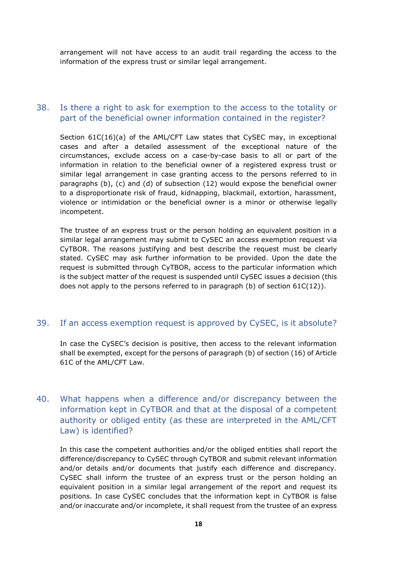arrangement will not have access to an audit trail regarding the access to the information of the express trust or similar legal arrangement.

#### <span id="page-17-0"></span>38. Is there a right to ask for exemption to the access to the totality or part of the beneficial owner information contained in the register?

Section 61C(16)(a) of the AML/CFT Law states that CySEC may, in exceptional cases and after a detailed assessment of the exceptional nature of the circumstances, exclude access on a case-by-case basis to all or part of the information in relation to the beneficial owner of a registered express trust or similar legal arrangement in case granting access to the persons referred to in paragraphs (b), (c) and (d) of subsection (12) would expose the beneficial owner to a disproportionate risk of fraud, kidnapping, blackmail, extortion, harassment, violence or intimidation or the beneficial owner is a minor or otherwise legally incompetent.

The trustee of an express trust or the person holding an equivalent position in a similar legal arrangement may submit to CySEC an access exemption request via CyTBOR. The reasons justifying and best describe the request must be clearly stated. CySEC may ask further information to be provided. Upon the date the request is submitted through CyTBOR, access to the particular information which is the subject matter of the request is suspended until CySEC issues a decision (this does not apply to the persons referred to in paragraph (b) of section 61C(12)).

#### <span id="page-17-1"></span>39. If an access exemption request is approved by CySEC, is it absolute?

In case the CySEC's decision is positive, then access to the relevant information shall be exempted, except for the persons of paragraph (b) of section (16) of Article 61C of the AML/CFT Law.

## <span id="page-17-2"></span>40. What happens when a difference and/or discrepancy between the information kept in CyTBOR and that at the disposal of a competent authority or obliged entity (as these are interpreted in the AML/CFT Law) is identified?

In this case the competent authorities and/or the obliged entities shall report the difference/discrepancy to CySEC through CyTBOR and submit relevant information and/or details and/or documents that justify each difference and discrepancy. CySEC shall inform the trustee of an express trust or the person holding an equivalent position in a similar legal arrangement of the report and request its positions. In case CySEC concludes that the information kept in CyTBOR is false and/or inaccurate and/or incomplete, it shall request from the trustee of an express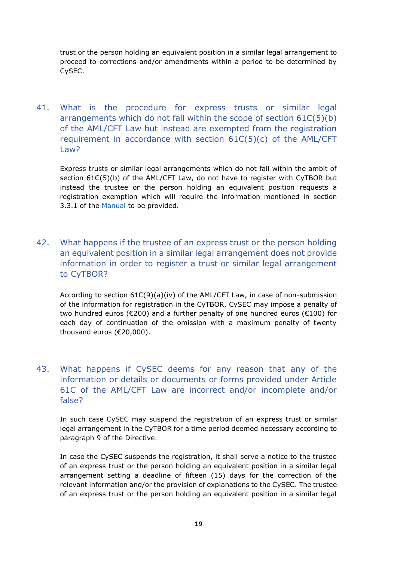trust or the person holding an equivalent position in a similar legal arrangement to proceed to corrections and/or amendments within a period to be determined by CySEC.

<span id="page-18-0"></span>41. What is the procedure for express trusts or similar legal arrangements which do not fall within the scope of section 61C(5)(b) of the AML/CFT Law but instead are exempted from the registration requirement in accordance with section 61C(5)(c) of the AML/CFT Law<sub>2</sub>

Express trusts or similar legal arrangements which do not fall within the ambit of section 61C(5)(b) of the AML/CFT Law, do not have to register with CyTBOR but instead the trustee or the person holding an equivalent position requests a registration exemption which will require the information mentioned in section 3.3.1 of the [Manual](https://www.cysec.gov.cy/cmsctx/culture/en-GB/-/el-GR/cytbor/user-guide-manuals/92311/) to be provided.

<span id="page-18-1"></span>42. What happens if the trustee of an express trust or the person holding an equivalent position in a similar legal arrangement does not provide information in order to register a trust or similar legal arrangement to CyTBOR?

According to section 61C(9)(a)(iv) of the AML/CFT Law, in case of non-submission of the information for registration in the CyTBOR, CySEC may impose a penalty of two hundred euros (€200) and a further penalty of one hundred euros (€100) for each day of continuation of the omission with a maximum penalty of twenty thousand euros (€20,000).

## <span id="page-18-2"></span>43. What happens if CySEC deems for any reason that any of the information or details or documents or forms provided under Article 61C of the AML/CFT Law are incorrect and/or incomplete and/or false?

In such case CySEC may suspend the registration of an express trust or similar legal arrangement in the CyTBOR for a time period deemed necessary according to paragraph 9 of the Directive.

In case the CySEC suspends the registration, it shall serve a notice to the trustee of an express trust or the person holding an equivalent position in a similar legal arrangement setting a deadline of fifteen (15) days for the correction of the relevant information and/or the provision of explanations to the CySEC. The trustee of an express trust or the person holding an equivalent position in a similar legal